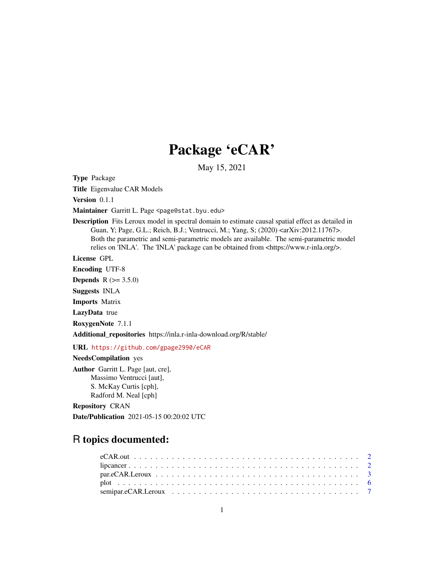## Package 'eCAR'

May 15, 2021

Type Package

Title Eigenvalue CAR Models

Version 0.1.1

Maintainer Garritt L. Page <page@stat.byu.edu>

Description Fits Leroux model in spectral domain to estimate causal spatial effect as detailed in Guan, Y; Page, G.L.; Reich, B.J.; Ventrucci, M.; Yang, S; (2020) <arXiv:2012.11767>. Both the parametric and semi-parametric models are available. The semi-parametric model relies on 'INLA'. The 'INLA' package can be obtained from <https://www.r-inla.org/>.

License GPL

Encoding UTF-8

**Depends** R  $(>= 3.5.0)$ 

Suggests INLA

Imports Matrix

LazyData true

RoxygenNote 7.1.1

Additional\_repositories https://inla.r-inla-download.org/R/stable/

URL <https://github.com/gpage2990/eCAR>

NeedsCompilation yes

Author Garritt L. Page [aut, cre], Massimo Ventrucci [aut], S. McKay Curtis [cph], Radford M. Neal [cph]

Repository CRAN

Date/Publication 2021-05-15 00:20:02 UTC

### R topics documented: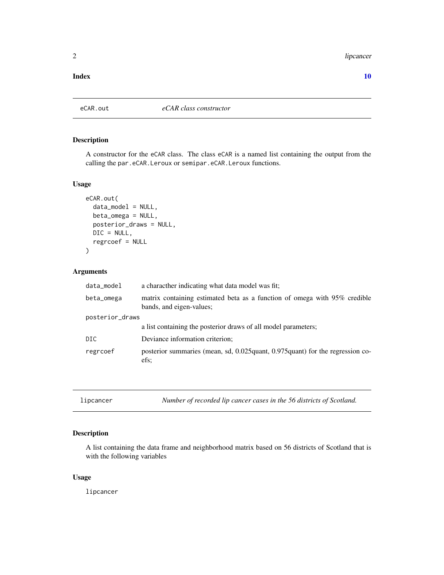#### <span id="page-1-0"></span>2 lipcancer and the state of the state of the state of the state of the state of the state of the state of the state of the state of the state of the state of the state of the state of the state of the state of the state o

#### $\blacksquare$

#### Description

A constructor for the eCAR class. The class eCAR is a named list containing the output from the calling the par.eCAR.Leroux or semipar.eCAR.Leroux functions.

#### Usage

```
eCAR.out(
  data_model = NULL,
 beta_omega = NULL,
 posterior_draws = NULL,
 DIC = NULL,
  regrcoef = NULL
)
```
#### Arguments

| data_model      | a characther indicating what data model was fit;                                                      |  |  |
|-----------------|-------------------------------------------------------------------------------------------------------|--|--|
| beta_omega      | matrix containing estimated beta as a function of omega with 95% credible<br>bands, and eigen-values; |  |  |
| posterior_draws |                                                                                                       |  |  |
|                 | a list containing the posterior draws of all model parameters;                                        |  |  |
| DIC.            | Deviance information criterion;                                                                       |  |  |
| regrcoef        | posterior summaries (mean, sd, 0.025 quant, 0.975 quant) for the regression co-<br>efs:               |  |  |

lipcancer *Number of recorded lip cancer cases in the 56 districts of Scotland.*

#### Description

A list containing the data frame and neighborhood matrix based on 56 districts of Scotland that is with the following variables

#### Usage

lipcancer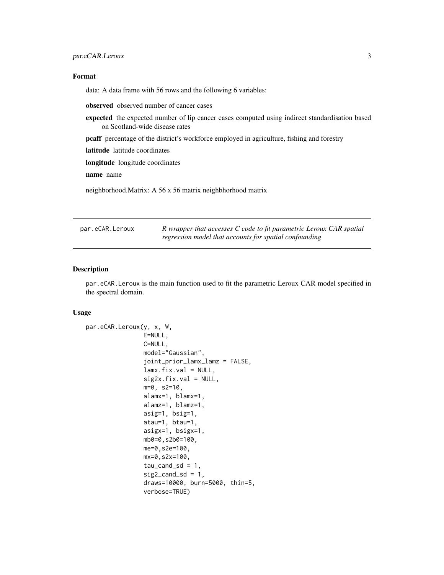#### <span id="page-2-0"></span>Format

data: A data frame with 56 rows and the following 6 variables:

observed observed number of cancer cases

expected the expected number of lip cancer cases computed using indirect standardisation based on Scotland-wide disease rates

pcaff percentage of the district's workforce employed in agriculture, fishing and forestry

latitude latitude coordinates

longitude longitude coordinates

name name

neighborhood.Matrix: A 56 x 56 matrix neighbhorhood matrix

| par.eCAR.Leroux | R wrapper that accesses C code to fit parametric Leroux CAR spatial |
|-----------------|---------------------------------------------------------------------|
|                 | regression model that accounts for spatial confounding              |

#### Description

par.eCAR.Leroux is the main function used to fit the parametric Leroux CAR model specified in the spectral domain.

#### Usage

```
par.eCAR.Leroux(y, x, W,
                E=NULL,
                C=NULL,
                model="Gaussian",
                joint_prior_lamx_lamz = FALSE,
                lamx.fix.val = NULL,sig2x.fix.val = NULL,m=0, s2=10,
                alamx=1, blamx=1,
                alamz=1, blamz=1,
                asig=1, bsig=1,
                atau=1, btau=1,
                asigx=1, bsigx=1,
                mb0=0,s2b0=100,
                me=0,s2e=100,
                mx=0,s2x=100,
                tau_cand_s = 1,
                sig2\_cand\_sd = 1,
                draws=10000, burn=5000, thin=5,
                verbose=TRUE)
```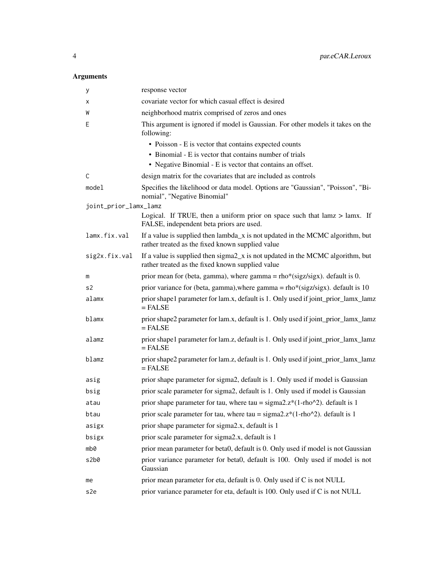#### Arguments

| у                     | response vector                                                                                                                    |
|-----------------------|------------------------------------------------------------------------------------------------------------------------------------|
| х                     | covariate vector for which casual effect is desired                                                                                |
| W                     | neighborhood matrix comprised of zeros and ones                                                                                    |
| E                     | This argument is ignored if model is Gaussian. For other models it takes on the<br>following:                                      |
|                       | • Poisson - E is vector that contains expected counts                                                                              |
|                       | • Binomial - E is vector that contains number of trials                                                                            |
|                       | • Negative Binomial - E is vector that contains an offset.                                                                         |
| C                     | design matrix for the covariates that are included as controls                                                                     |
| mode1                 | Specifies the likelihood or data model. Options are "Gaussian", "Poisson", "Bi-<br>nomial", "Negative Binomial"                    |
| joint_prior_lamx_lamz |                                                                                                                                    |
|                       | Logical. If TRUE, then a uniform prior on space such that $lamz > lamx$ . If<br>FALSE, independent beta priors are used.           |
| lamx.fix.val          | If a value is supplied then lambda_x is not updated in the MCMC algorithm, but<br>rather treated as the fixed known supplied value |
| sig2x.fix.val         | If a value is supplied then sigma2_x is not updated in the MCMC algorithm, but<br>rather treated as the fixed known supplied value |
| m                     | prior mean for (beta, gamma), where gamma = $rho*(sigz/sigx)$ . default is 0.                                                      |
| s2                    | prior variance for (beta, gamma), where gamma = $\text{rho}*(sigz/sigx)$ . default is 10                                           |
| alamx                 | prior shape1 parameter for lam.x, default is 1. Only used if joint_prior_lamx_lamz<br>$=$ FALSE                                    |
| blamx                 | prior shape2 parameter for lam.x, default is 1. Only used if joint_prior_lamx_lamz<br>$=$ FALSE                                    |
| alamz                 | prior shape1 parameter for lam.z, default is 1. Only used if joint_prior_lamx_lamz<br>$=$ FALSE                                    |
| blamz                 | prior shape2 parameter for lam.z, default is 1. Only used if joint_prior_lamx_lamz<br>$=$ FALSE                                    |
| asig                  | prior shape parameter for sigma2, default is 1. Only used if model is Gaussian                                                     |
| bsig                  | prior scale parameter for sigma2, default is 1. Only used if model is Gaussian                                                     |
| atau                  | prior shape parameter for tau, where tau = $sigma2. z*(1-rho^2)$ . default is 1                                                    |
| btau                  | prior scale parameter for tau, where tau = $sigma2.z*(1-rho^2)$ . default is 1                                                     |
| asigx                 | prior shape parameter for sigma2.x, default is 1                                                                                   |
| bsigx                 | prior scale parameter for sigma2.x, default is 1                                                                                   |
| mb0                   | prior mean parameter for beta0, default is 0. Only used if model is not Gaussian                                                   |
| s2b0                  | prior variance parameter for beta0, default is 100. Only used if model is not<br>Gaussian                                          |
| me                    | prior mean parameter for eta, default is 0. Only used if C is not NULL                                                             |
| s2e                   | prior variance parameter for eta, default is 100. Only used if C is not NULL                                                       |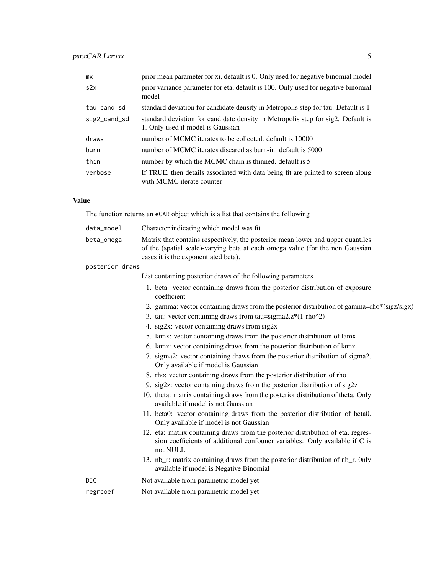| mx           | prior mean parameter for xi, default is 0. Only used for negative binomial model                                      |
|--------------|-----------------------------------------------------------------------------------------------------------------------|
| s2x          | prior variance parameter for eta, default is 100. Only used for negative binomial<br>model                            |
| tau_cand_sd  | standard deviation for candidate density in Metropolis step for tau. Default is 1                                     |
| sig2_cand_sd | standard deviation for candidate density in Metropolis step for sig2. Default is<br>1. Only used if model is Gaussian |
| draws        | number of MCMC iterates to be collected, default is 10000                                                             |
| burn         | number of MCMC iterates discared as burn-in, default is 5000                                                          |
| thin         | number by which the MCMC chain is thinned. default is 5                                                               |
| verbose      | If TRUE, then details associated with data being fit are printed to screen along<br>with MCMC iterate counter         |

#### Value

The function returns an eCAR object which is a list that contains the following

| data_model      | Character indicating which model was fit                                                                                                                                                                 |
|-----------------|----------------------------------------------------------------------------------------------------------------------------------------------------------------------------------------------------------|
| beta_omega      | Matrix that contains respectively, the posterior mean lower and upper quantiles<br>of the (spatial scale)-varying beta at each omega value (for the non Gaussian<br>cases it is the exponentiated beta). |
| posterior_draws |                                                                                                                                                                                                          |
|                 | List containing posterior draws of the following parameters                                                                                                                                              |
|                 | 1. beta: vector containing draws from the posterior distribution of exposure<br>coefficient                                                                                                              |
|                 | 2. gamma: vector containing draws from the posterior distribution of gamma=rho*(sigz/sigx)                                                                                                               |
|                 | 3. tau: vector containing draws from tau=sigma $2.z^*(1-rho^2)$                                                                                                                                          |
|                 | 4. sig2x: vector containing draws from sig2x                                                                                                                                                             |
|                 | 5. lamx: vector containing draws from the posterior distribution of lamx                                                                                                                                 |
|                 | 6. lamz: vector containing draws from the posterior distribution of lamz                                                                                                                                 |
|                 | 7. sigma2: vector containing draws from the posterior distribution of sigma2.<br>Only available if model is Gaussian                                                                                     |
|                 | 8. rho: vector containing draws from the posterior distribution of rho                                                                                                                                   |
|                 | 9. sig2z: vector containing draws from the posterior distribution of sig2z                                                                                                                               |
|                 | 10. theta: matrix containing draws from the posterior distribution of theta. Only<br>available if model is not Gaussian                                                                                  |
|                 | 11. beta0: vector containing draws from the posterior distribution of beta0.<br>Only available if model is not Gaussian                                                                                  |
|                 | 12. eta: matrix containing draws from the posterior distribution of eta, regres-<br>sion coefficients of additional confouner variables. Only available if C is<br>not NULL                              |
|                 | 13. nb_r: matrix containing draws from the posterior distribution of nb_r. 0nly<br>available if model is Negative Binomial                                                                               |
| <b>DIC</b>      | Not available from parametric model yet                                                                                                                                                                  |
| regrcoef        | Not available from parametric model yet                                                                                                                                                                  |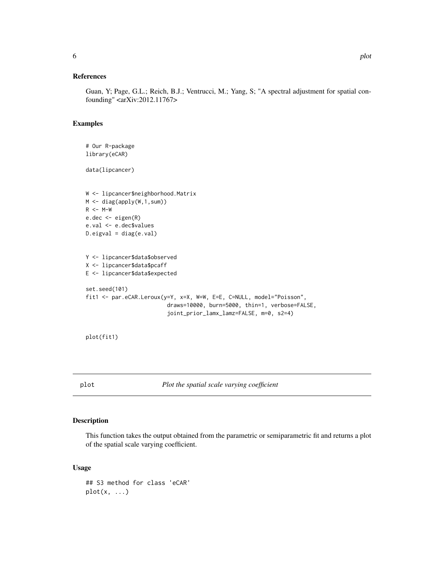#### <span id="page-5-0"></span>References

Guan, Y; Page, G.L.; Reich, B.J.; Ventrucci, M.; Yang, S; "A spectral adjustment for spatial confounding" <arXiv:2012.11767>

#### Examples

```
# Our R-package
library(eCAR)
data(lipcancer)
W <- lipcancer$neighborhood.Matrix
M <- diag(apply(W,1,sum))
R <- M-W
e.dec <- eigen(R)
e.val <- e.dec$values
D.eigval = diag(e.val)Y <- lipcancer$data$observed
X <- lipcancer$data$pcaff
E <- lipcancer$data$expected
set.seed(101)
fit1 <- par.eCAR.Leroux(y=Y, x=X, W=W, E=E, C=NULL, model="Poisson",
                         draws=10000, burn=5000, thin=1, verbose=FALSE,
                         joint_prior_lamx_lamz=FALSE, m=0, s2=4)
```

```
plot(fit1)
```
plot *Plot the spatial scale varying coefficient*

#### Description

This function takes the output obtained from the parametric or semiparametric fit and returns a plot of the spatial scale varying coefficient.

#### Usage

```
## S3 method for class 'eCAR'
plot(x, \ldots)
```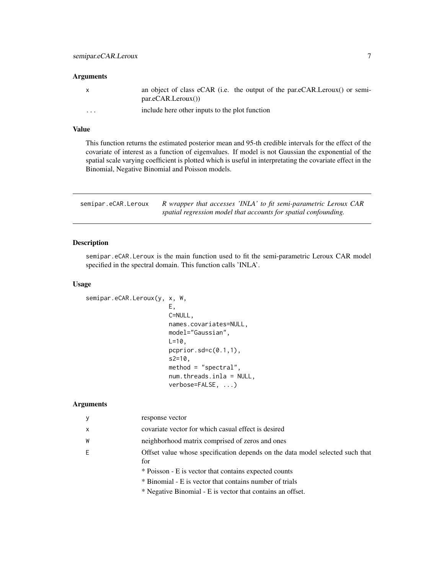#### <span id="page-6-0"></span>Arguments

|                         | an object of class eCAR (i.e. the output of the par.eCAR.Leroux() or semi-<br>par.eCAR.Leroux() |
|-------------------------|-------------------------------------------------------------------------------------------------|
| $\cdot$ $\cdot$ $\cdot$ | include here other inputs to the plot function                                                  |

#### Value

This function returns the estimated posterior mean and 95-th credible intervals for the effect of the covariate of interest as a function of eigenvalues. If model is not Gaussian the exponential of the spatial scale varying coefficient is plotted which is useful in interpretating the covariate effect in the Binomial, Negative Binomial and Poisson models.

| semipar.eCAR.Leroux | R wrapper that accesses 'INLA' to fit semi-parametric Leroux CAR |
|---------------------|------------------------------------------------------------------|
|                     | spatial regression model that accounts for spatial confounding.  |

#### Description

semipar.eCAR.Leroux is the main function used to fit the semi-parametric Leroux CAR model specified in the spectral domain. This function calls 'INLA'.

#### Usage

```
semipar.eCAR.Leroux(y, x, W,
                        E,
                        C=NULL,
                        names.covariates=NULL,
                        model="Gaussian",
                        L = 10,
                        pcprior.sd=c(0.1,1),
                        s2=10,
                        method = "spectral",
                        num.threads.inla = NULL,
                        verbose=FALSE, ...)
```
#### Arguments

| y            | response vector                                                                      |
|--------------|--------------------------------------------------------------------------------------|
| $\mathsf{x}$ | covariate vector for which casual effect is desired                                  |
| W            | neighborhood matrix comprised of zeros and ones                                      |
| E            | Offset value whose specification depends on the data model selected such that<br>for |
|              | * Poisson - E is vector that contains expected counts                                |
|              | * Binomial - E is vector that contains number of trials                              |
|              | * Negative Binomial - E is vector that contains an offset.                           |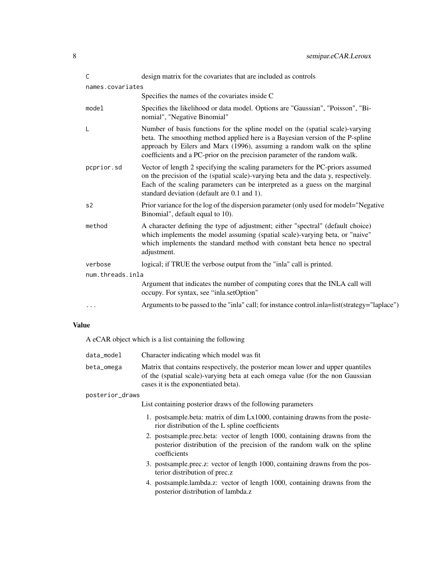| $\mathsf{C}$     | design matrix for the covariates that are included as controls                                                                                                                                                                                                                                                           |  |  |  |  |
|------------------|--------------------------------------------------------------------------------------------------------------------------------------------------------------------------------------------------------------------------------------------------------------------------------------------------------------------------|--|--|--|--|
| names.covariates |                                                                                                                                                                                                                                                                                                                          |  |  |  |  |
|                  | Specifies the names of the covariates inside C                                                                                                                                                                                                                                                                           |  |  |  |  |
| model            | Specifies the likelihood or data model. Options are "Gaussian", "Poisson", "Bi-<br>nomial", "Negative Binomial"                                                                                                                                                                                                          |  |  |  |  |
| L                | Number of basis functions for the spline model on the (spatial scale)-varying<br>beta. The smoothing method applied here is a Bayesian version of the P-spline<br>approach by Eilers and Marx (1996), assuming a random walk on the spline<br>coefficients and a PC-prior on the precision parameter of the random walk. |  |  |  |  |
| pcprior.sd       | Vector of length 2 specifying the scaling parameters for the PC-priors assumed<br>on the precision of the (spatial scale)-varying beta and the data y, respectively.<br>Each of the scaling parameters can be interpreted as a guess on the marginal<br>standard deviation (default are 0.1 and 1).                      |  |  |  |  |
| s <sub>2</sub>   | Prior variance for the log of the dispersion parameter (only used for model="Negative"<br>Binomial", default equal to 10).                                                                                                                                                                                               |  |  |  |  |
| method           | A character defining the type of adjustment; either "spectral" (default choice)<br>which implements the model assuming (spatial scale)-varying beta, or "naive"<br>which implements the standard method with constant beta hence no spectral<br>adjustment.                                                              |  |  |  |  |
| verbose          | logical; if TRUE the verbose output from the "inla" call is printed.                                                                                                                                                                                                                                                     |  |  |  |  |
| num.threads.inla |                                                                                                                                                                                                                                                                                                                          |  |  |  |  |
|                  | Argument that indicates the number of computing cores that the INLA call will<br>occupy. For syntax, see "inla.setOption"                                                                                                                                                                                                |  |  |  |  |
| .                | Arguments to be passed to the "inla" call; for instance control.inla=list(strategy="laplace")                                                                                                                                                                                                                            |  |  |  |  |

#### Value

A eCAR object which is a list containing the following

| data model | Character indicating which model was fit                                                                                                                         |
|------------|------------------------------------------------------------------------------------------------------------------------------------------------------------------|
| beta_omega | Matrix that contains respectively, the posterior mean lower and upper quantiles<br>of the (spatial scale)-varying beta at each omega value (for the non Gaussian |
|            | cases it is the exponentiated beta).                                                                                                                             |

#### posterior\_draws

List containing posterior draws of the following parameters

- 1. postsample.beta: matrix of dim Lx1000, containing drawns from the posterior distribution of the L spline coefficients
- 2. postsample.prec.beta: vector of length 1000, containing drawns from the posterior distribution of the precision of the random walk on the spline coefficients
- 3. postsample.prec.z: vector of length 1000, containing drawns from the posterior distribution of prec.z
- 4. postsample.lambda.z: vector of length 1000, containing drawns from the posterior distribution of lambda.z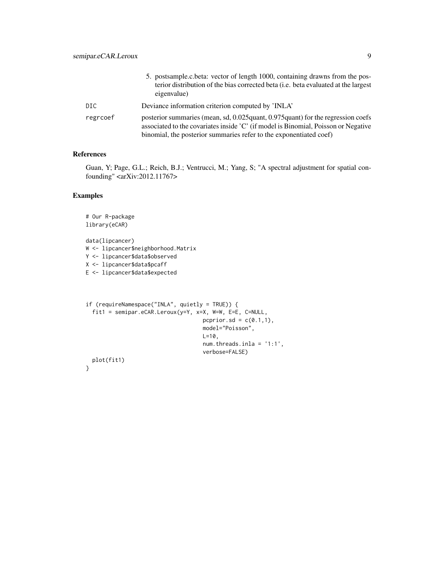|          | 5. postsample.c.beta: vector of length 1000, containing drawns from the pos-<br>terior distribution of the bias corrected beta (i.e. beta evaluated at the largest<br>eigenvalue)                                                             |
|----------|-----------------------------------------------------------------------------------------------------------------------------------------------------------------------------------------------------------------------------------------------|
| DIC.     | Deviance information criterion computed by 'INLA'                                                                                                                                                                                             |
| regrcoef | posterior summaries (mean, sd, 0.025 quant, 0.975 quant) for the regression coefs<br>associated to the covariates inside 'C' (if model is Binomial, Poisson or Negative<br>binomial, the posterior summaries refer to the exponentiated coef) |

#### References

Guan, Y; Page, G.L.; Reich, B.J.; Ventrucci, M.; Yang, S; "A spectral adjustment for spatial confounding" <arXiv:2012.11767>

#### Examples

```
# Our R-package
library(eCAR)
data(lipcancer)
W <- lipcancer$neighborhood.Matrix
Y <- lipcancer$data$observed
X <- lipcancer$data$pcaff
E <- lipcancer$data$expected
if (requireNamespace("INLA", quietly = TRUE)) {
  fit1 = semipar.eCAR.Leroux(y=Y, x=X, W=W, E=E, C=NULL,
                                    pcprior.sd = c(0.1,1),
                                    model="Poisson",
                                    L=10,
                                    num.threads.inla = '1:1',
                                    verbose=FALSE)
 plot(fit1)
```
}